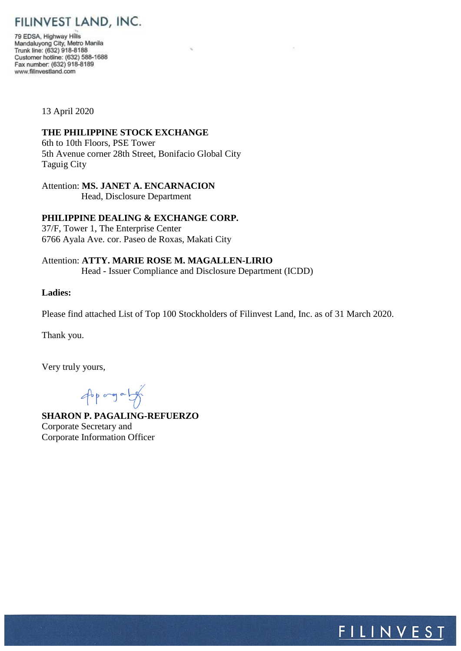FILINVEST LAND, INC.

79 EDSA, Highway Hills Mandaluyong City, Metro Manila<br>Trunk line: (632) 918-8188 Customer hotline: (632) 588-1688 Fax number: (632) 918-8189 www.filinvestland.com

13 April 2020

## **THE PHILIPPINE STOCK EXCHANGE**

6th to 10th Floors, PSE Tower 5th Avenue corner 28th Street, Bonifacio Global City Taguig City

Attention: **MS. JANET A. ENCARNACION**

Head, Disclosure Department

# **PHILIPPINE DEALING & EXCHANGE CORP.**

37/F, Tower 1, The Enterprise Center 6766 Ayala Ave. cor. Paseo de Roxas, Makati City

Attention: **ATTY. MARIE ROSE M. MAGALLEN-LIRIO** Head - Issuer Compliance and Disclosure Department (ICDD)

#### **Ladies:**

Please find attached List of Top 100 Stockholders of Filinvest Land, Inc. as of 31 March 2020.

Thank you.

Very truly yours,

 $46p$  ang a  $19p$ 

**SHARON P. PAGALING-REFUERZO** Corporate Secretary and Corporate Information Officer

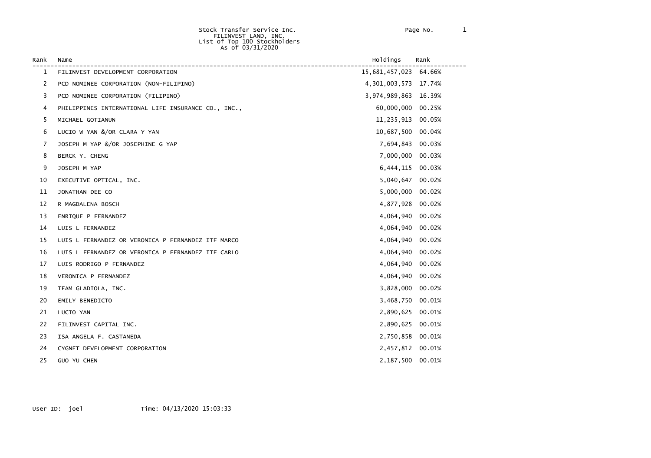| Rank | Name                                                | Holdings                | Rank   |
|------|-----------------------------------------------------|-------------------------|--------|
| 1    | FILINVEST DEVELOPMENT CORPORATION                   | 15,681,457,023 64.66%   |        |
| 2    | PCD NOMINEE CORPORATION (NON-FILIPINO)              | 4, 301, 003, 573 17.74% |        |
| 3    | PCD NOMINEE CORPORATION (FILIPINO)                  | 3,974,989,863           | 16.39% |
| 4    | PHILIPPINES INTERNATIONAL LIFE INSURANCE CO., INC., | 60,000,000              | 00.25% |
| 5    | MICHAEL GOTIANUN                                    | 11,235,913              | 00.05% |
| 6    | LUCIO W YAN &/OR CLARA Y YAN                        | 10,687,500              | 00.04% |
| 7    | JOSEPH M YAP &/OR JOSEPHINE G YAP                   | 7,694,843               | 00.03% |
| 8    | BERCK Y. CHENG                                      | 7,000,000               | 00.03% |
| 9    | JOSEPH M YAP                                        | 6,444,115               | 00.03% |
| 10   | EXECUTIVE OPTICAL, INC.                             | 5,040,647               | 00.02% |
| 11   | JONATHAN DEE CO                                     | 5,000,000               | 00.02% |
| 12   | R MAGDALENA BOSCH                                   | 4,877,928               | 00.02% |
| 13   | ENRIQUE P FERNANDEZ                                 | 4,064,940               | 00.02% |
| 14   | LUIS L FERNANDEZ                                    | 4,064,940               | 00.02% |
| 15   | LUIS L FERNANDEZ OR VERONICA P FERNANDEZ ITF MARCO  | 4,064,940               | 00.02% |
| 16   | LUIS L FERNANDEZ OR VERONICA P FERNANDEZ ITF CARLO  | 4,064,940               | 00.02% |
| 17   | LUIS RODRIGO P FERNANDEZ                            | 4,064,940               | 00.02% |
| 18   | VERONICA P FERNANDEZ                                | 4,064,940               | 00.02% |
| 19   | TEAM GLADIOLA, INC.                                 | 3,828,000               | 00.02% |
| 20   | EMILY BENEDICTO                                     | 3,468,750               | 00.01% |
| 21   | LUCIO YAN                                           | 2,890,625               | 00.01% |
| 22   | FILINVEST CAPITAL INC.                              | 2,890,625               | 00.01% |
| 23   | ISA ANGELA F. CASTANEDA                             | 2,750,858               | 00.01% |
| 24   | CYGNET DEVELOPMENT CORPORATION                      | 2,457,812               | 00.01% |
| 25   | <b>GUO YU CHEN</b>                                  | 2,187,500               | 00.01% |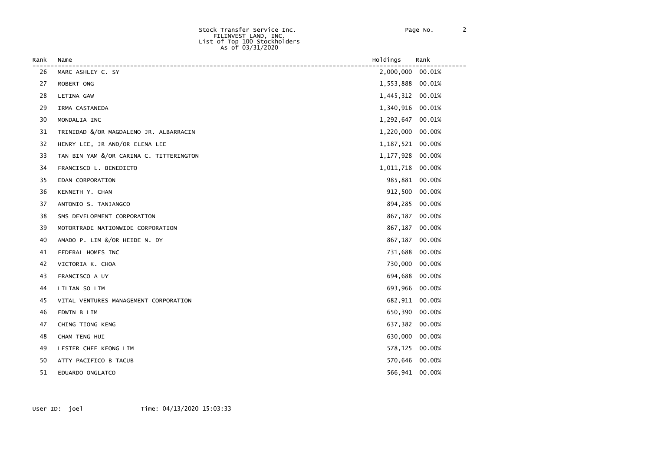| Rank | Name                                    | Holdings       | Rank   |
|------|-----------------------------------------|----------------|--------|
| 26   | MARC ASHLEY C. SY                       | 2,000,000      | 00.01% |
| 27   | ROBERT ONG                              | 1,553,888      | 00.01% |
| 28   | LETINA GAW                              | 1,445,312      | 00.01% |
| 29   | IRMA CASTANEDA                          | 1,340,916      | 00.01% |
| 30   | MONDALIA INC                            | 1,292,647      | 00.01% |
| 31   | TRINIDAD &/OR MAGDALENO JR. ALBARRACIN  | 1,220,000      | 00.00% |
| 32   | HENRY LEE, JR AND/OR ELENA LEE          | 1,187,521      | 00.00% |
| 33   | TAN BIN YAM &/OR CARINA C. TITTERINGTON | 1,177,928      | 00.00% |
| 34   | FRANCISCO L. BENEDICTO                  | 1,011,718      | 00.00% |
| 35   | EDAN CORPORATION                        | 985,881        | 00.00% |
| 36   | KENNETH Y. CHAN                         | 912,500        | 00.00% |
| 37   | ANTONIO S. TANJANGCO                    | 894,285        | 00.00% |
| 38   | SMS DEVELOPMENT CORPORATION             | 867,187        | 00.00% |
| 39   | MOTORTRADE NATIONWIDE CORPORATION       | 867,187        | 00.00% |
| 40   | AMADO P. LIM &/OR HEIDE N. DY           | 867,187        | 00.00% |
| 41   | FEDERAL HOMES INC                       | 731,688        | 00.00% |
| 42   | VICTORIA K. CHOA                        | 730,000        | 00.00% |
| 43   | FRANCISCO A UY                          | 694,688        | 00.00% |
| 44   | LILIAN SO LIM                           | 693,966        | 00.00% |
| 45   | VITAL VENTURES MANAGEMENT CORPORATION   | 682,911        | 00.00% |
| 46   | EDWIN B LIM                             | 650,390        | 00.00% |
| 47   | CHING TIONG KENG                        | 637,382        | 00.00% |
| 48   | CHAM TENG HUI                           | 630,000        | 00.00% |
| 49   | LESTER CHEE KEONG LIM                   | 578,125        | 00.00% |
| 50   | ATTY PACIFICO B TACUB                   | 570,646 00.00% |        |
| 51   | EDUARDO ONGLATCO                        | 566,941        | 00.00% |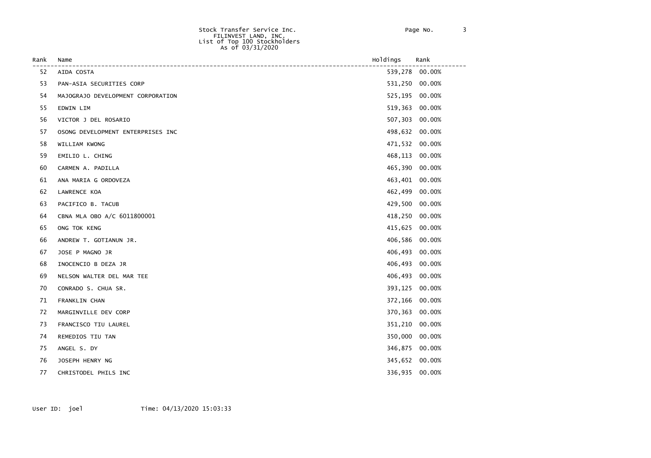| Rank | Name                              | Holdings       | Rank   |
|------|-----------------------------------|----------------|--------|
| 52   | AIDA COSTA                        | 539,278 00.00% |        |
| 53   | PAN-ASIA SECURITIES CORP          | 531,250        | 00.00% |
| 54   | MAJOGRAJO DEVELOPMENT CORPORATION | 525,195        | 00.00% |
| 55   | EDWIN LIM                         | 519,363        | 00.00% |
| 56   | VICTOR J DEL ROSARIO              | 507,303        | 00.00% |
| 57   | OSONG DEVELOPMENT ENTERPRISES INC | 498,632        | 00.00% |
| 58   | WILLIAM KWONG                     | 471,532        | 00.00% |
| 59   | EMILIO L. CHING                   | 468,113        | 00.00% |
| 60   | CARMEN A. PADILLA                 | 465,390        | 00.00% |
| 61   | ANA MARIA G ORDOVEZA              | 463,401        | 00.00% |
| 62   | LAWRENCE KOA                      | 462,499        | 00.00% |
| 63   | PACIFICO B. TACUB                 | 429,500        | 00.00% |
| 64   | CBNA MLA OBO A/C 6011800001       | 418,250        | 00.00% |
| 65   | ONG TOK KENG                      | 415,625        | 00.00% |
| 66   | ANDREW T. GOTIANUN JR.            | 406,586        | 00.00% |
| 67   | JOSE P MAGNO JR                   | 406,493        | 00.00% |
| 68   | INOCENCIO B DEZA JR               | 406,493        | 00.00% |
| 69   | NELSON WALTER DEL MAR TEE         | 406,493        | 00.00% |
| 70   | CONRADO S. CHUA SR.               | 393,125        | 00.00% |
| 71   | FRANKLIN CHAN                     | 372,166        | 00.00% |
| 72   | MARGINVILLE DEV CORP              | 370,363        | 00.00% |
| 73   | FRANCISCO TIU LAUREL              | 351,210        | 00.00% |
| 74   | REMEDIOS TIU TAN                  | 350,000        | 00.00% |
| 75   | ANGEL S. DY                       | 346,875        | 00.00% |
| 76   | JOSEPH HENRY NG                   | 345,652 00.00% |        |
| 77   | CHRISTODEL PHILS INC              | 336,935 00.00% |        |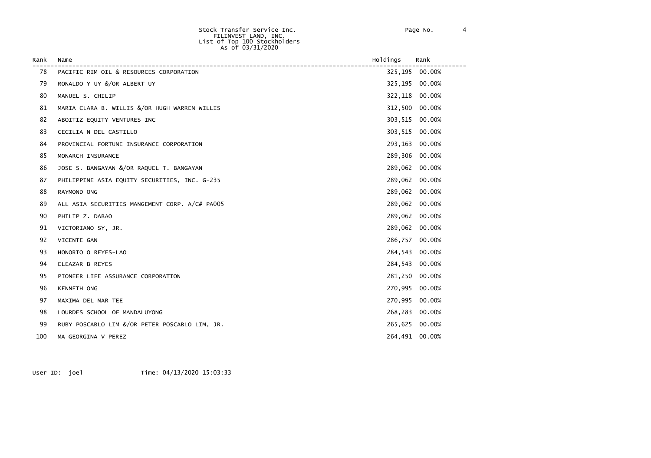| Rank | Name                                           | Holdings       | Rank           |
|------|------------------------------------------------|----------------|----------------|
| 78   | PACIFIC RIM OIL & RESOURCES CORPORATION        |                | 325,195 00.00% |
| 79   | RONALDO Y UY &/OR ALBERT UY                    | 325,195        | 00.00%         |
| 80   | MANUEL S. CHILIP                               | 322,118        | 00.00%         |
| 81   | MARIA CLARA B. WILLIS &/OR HUGH WARREN WILLIS  | 312,500        | 00.00%         |
| 82   | ABOITIZ EQUITY VENTURES INC                    | 303,515        | 00.00%         |
| 83   | CECILIA N DEL CASTILLO                         | 303,515        | 00.00%         |
| 84   | PROVINCIAL FORTUNE INSURANCE CORPORATION       | 293,163        | 00.00%         |
| 85   | MONARCH INSURANCE                              | 289,306        | 00.00%         |
| 86   | JOSE S. BANGAYAN &/OR RAQUEL T. BANGAYAN       | 289,062        | 00.00%         |
| 87   | PHILIPPINE ASIA EQUITY SECURITIES, INC. G-235  | 289,062        | 00.00%         |
| 88   | RAYMOND ONG                                    | 289,062        | 00.00%         |
| 89   | ALL ASIA SECURITIES MANGEMENT CORP. A/C# PA005 | 289,062        | 00.00%         |
| 90   | PHILIP Z. DABAO                                | 289.062        | 00.00%         |
| 91   | VICTORIANO SY, JR.                             | 289,062        | 00.00%         |
| 92   | VICENTE GAN                                    | 286,757        | 00.00%         |
| 93   | HONORIO O REYES-LAO                            | 284,543        | 00.00%         |
| 94   | ELEAZAR B REYES                                | 284,543        | 00.00%         |
| 95   | PIONEER LIFE ASSURANCE CORPORATION             | 281,250        | 00.00%         |
| 96   | KENNETH ONG                                    | 270,995        | 00.00%         |
| 97   | MAXIMA DEL MAR TEE                             | 270.995        | 00.00%         |
| 98   | LOURDES SCHOOL OF MANDALUYONG                  | 268,283        | 00.00%         |
| 99   | RUBY POSCABLO LIM &/OR PETER POSCABLO LIM, JR. | 265,625        | 00.00%         |
| 100  | MA GEORGINA V PEREZ                            | 264,491 00.00% |                |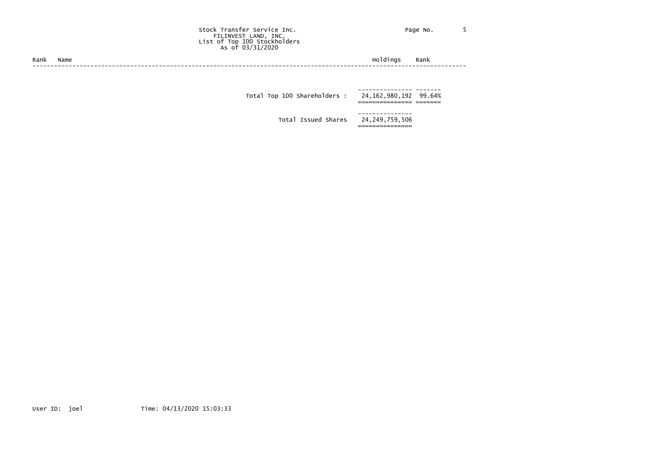Stock Transfer Service Inc. The Contract of Page No. 5 FILINVEST LAND, INC. List of Top 100 Stockholders As of 03/31/2020

Rank Name Holdings Rank ------------------------------------------------------------------------------------------------------------------------

> --------------- -------<br>24,162,980,192 99.64% Total Top 100 Shareholders : =============== =======

> > --------------- Total Issued Shares ===============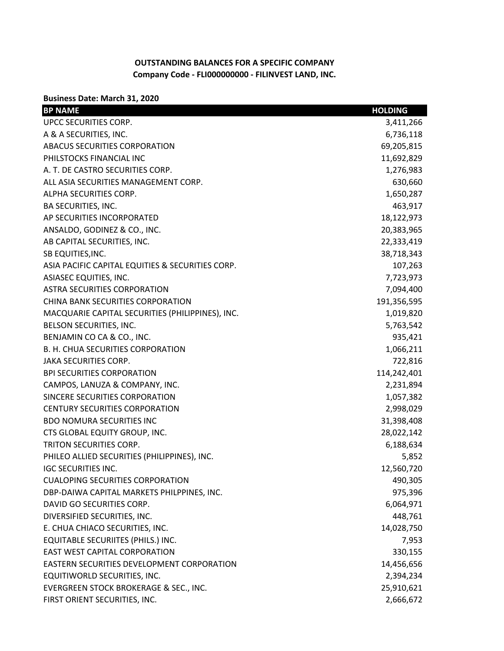# **OUTSTANDING BALANCES FOR A SPECIFIC COMPANY Company Code - FLI000000000 - FILINVEST LAND, INC.**

## **Business Date: March 31, 2020**

| <b>BP NAME</b>                                   | <b>HOLDING</b> |
|--------------------------------------------------|----------------|
| UPCC SECURITIES CORP.                            | 3,411,266      |
| A & A SECURITIES, INC.                           | 6,736,118      |
| ABACUS SECURITIES CORPORATION                    | 69,205,815     |
| PHILSTOCKS FINANCIAL INC                         | 11,692,829     |
| A. T. DE CASTRO SECURITIES CORP.                 | 1,276,983      |
| ALL ASIA SECURITIES MANAGEMENT CORP.             | 630,660        |
| ALPHA SECURITIES CORP.                           | 1,650,287      |
| <b>BA SECURITIES, INC.</b>                       | 463,917        |
| AP SECURITIES INCORPORATED                       | 18,122,973     |
| ANSALDO, GODINEZ & CO., INC.                     | 20,383,965     |
| AB CAPITAL SECURITIES, INC.                      | 22,333,419     |
| SB EQUITIES, INC.                                | 38,718,343     |
| ASIA PACIFIC CAPITAL EQUITIES & SECURITIES CORP. | 107,263        |
| ASIASEC EQUITIES, INC.                           | 7,723,973      |
| <b>ASTRA SECURITIES CORPORATION</b>              | 7,094,400      |
| CHINA BANK SECURITIES CORPORATION                | 191,356,595    |
| MACQUARIE CAPITAL SECURITIES (PHILIPPINES), INC. | 1,019,820      |
| BELSON SECURITIES, INC.                          | 5,763,542      |
| BENJAMIN CO CA & CO., INC.                       | 935,421        |
| B. H. CHUA SECURITIES CORPORATION                | 1,066,211      |
| JAKA SECURITIES CORP.                            | 722,816        |
| <b>BPI SECURITIES CORPORATION</b>                | 114,242,401    |
| CAMPOS, LANUZA & COMPANY, INC.                   | 2,231,894      |
| SINCERE SECURITIES CORPORATION                   | 1,057,382      |
| <b>CENTURY SECURITIES CORPORATION</b>            | 2,998,029      |
| <b>BDO NOMURA SECURITIES INC</b>                 | 31,398,408     |
| CTS GLOBAL EQUITY GROUP, INC.                    | 28,022,142     |
| TRITON SECURITIES CORP.                          | 6,188,634      |
| PHILEO ALLIED SECURITIES (PHILIPPINES), INC.     | 5,852          |
| <b>IGC SECURITIES INC.</b>                       | 12,560,720     |
| <b>CUALOPING SECURITIES CORPORATION</b>          | 490,305        |
| DBP-DAIWA CAPITAL MARKETS PHILPPINES, INC.       | 975,396        |
| DAVID GO SECURITIES CORP.                        | 6,064,971      |
| DIVERSIFIED SECURITIES, INC.                     | 448,761        |
| E. CHUA CHIACO SECURITIES, INC.                  | 14,028,750     |
| EQUITABLE SECURIITES (PHILS.) INC.               | 7,953          |
| EAST WEST CAPITAL CORPORATION                    | 330,155        |
| EASTERN SECURITIES DEVELOPMENT CORPORATION       | 14,456,656     |
| EQUITIWORLD SECURITIES, INC.                     | 2,394,234      |
| EVERGREEN STOCK BROKERAGE & SEC., INC.           | 25,910,621     |
| FIRST ORIENT SECURITIES, INC.                    | 2,666,672      |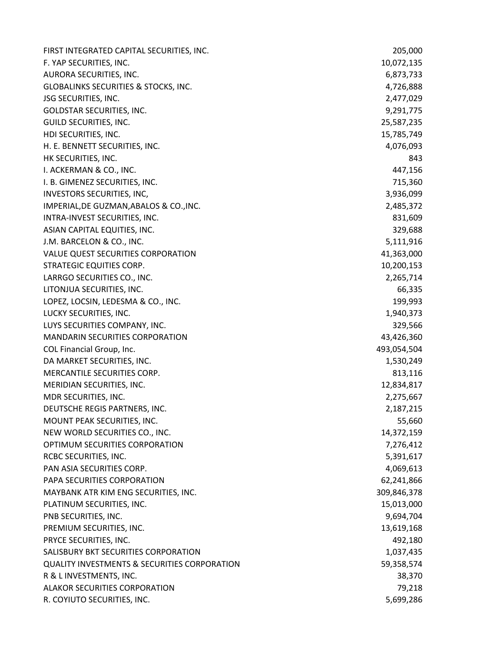| FIRST INTEGRATED CAPITAL SECURITIES, INC.               | 205,000     |
|---------------------------------------------------------|-------------|
| F. YAP SECURITIES, INC.                                 | 10,072,135  |
| AURORA SECURITIES, INC.                                 | 6,873,733   |
| GLOBALINKS SECURITIES & STOCKS, INC.                    | 4,726,888   |
| <b>JSG SECURITIES, INC.</b>                             | 2,477,029   |
| GOLDSTAR SECURITIES, INC.                               | 9,291,775   |
| GUILD SECURITIES, INC.                                  | 25,587,235  |
| HDI SECURITIES, INC.                                    | 15,785,749  |
| H. E. BENNETT SECURITIES, INC.                          | 4,076,093   |
| HK SECURITIES, INC.                                     | 843         |
| I. ACKERMAN & CO., INC.                                 | 447,156     |
| I. B. GIMENEZ SECURITIES, INC.                          | 715,360     |
| INVESTORS SECURITIES, INC,                              | 3,936,099   |
| IMPERIAL, DE GUZMAN, ABALOS & CO., INC.                 | 2,485,372   |
| INTRA-INVEST SECURITIES, INC.                           | 831,609     |
| ASIAN CAPITAL EQUITIES, INC.                            | 329,688     |
| J.M. BARCELON & CO., INC.                               | 5,111,916   |
| VALUE QUEST SECURITIES CORPORATION                      | 41,363,000  |
| STRATEGIC EQUITIES CORP.                                | 10,200,153  |
| LARRGO SECURITIES CO., INC.                             | 2,265,714   |
| LITONJUA SECURITIES, INC.                               | 66,335      |
| LOPEZ, LOCSIN, LEDESMA & CO., INC.                      | 199,993     |
| LUCKY SECURITIES, INC.                                  | 1,940,373   |
| LUYS SECURITIES COMPANY, INC.                           | 329,566     |
| <b>MANDARIN SECURITIES CORPORATION</b>                  | 43,426,360  |
| COL Financial Group, Inc.                               | 493,054,504 |
| DA MARKET SECURITIES, INC.                              | 1,530,249   |
| MERCANTILE SECURITIES CORP.                             | 813,116     |
| MERIDIAN SECURITIES, INC.                               | 12,834,817  |
| MDR SECURITIES, INC.                                    | 2,275,667   |
| DEUTSCHE REGIS PARTNERS, INC.                           | 2,187,215   |
| MOUNT PEAK SECURITIES, INC.                             | 55,660      |
| NEW WORLD SECURITIES CO., INC.                          | 14,372,159  |
| OPTIMUM SECURITIES CORPORATION                          | 7,276,412   |
| RCBC SECURITIES, INC.                                   | 5,391,617   |
| PAN ASIA SECURITIES CORP.                               | 4,069,613   |
| PAPA SECURITIES CORPORATION                             | 62,241,866  |
| MAYBANK ATR KIM ENG SECURITIES, INC.                    | 309,846,378 |
| PLATINUM SECURITIES, INC.                               | 15,013,000  |
| PNB SECURITIES, INC.                                    | 9,694,704   |
| PREMIUM SECURITIES, INC.                                | 13,619,168  |
| PRYCE SECURITIES, INC.                                  | 492,180     |
| SALISBURY BKT SECURITIES CORPORATION                    | 1,037,435   |
| <b>QUALITY INVESTMENTS &amp; SECURITIES CORPORATION</b> | 59,358,574  |
| R & L INVESTMENTS, INC.                                 | 38,370      |
| <b>ALAKOR SECURITIES CORPORATION</b>                    | 79,218      |
| R. COYIUTO SECURITIES, INC.                             | 5,699,286   |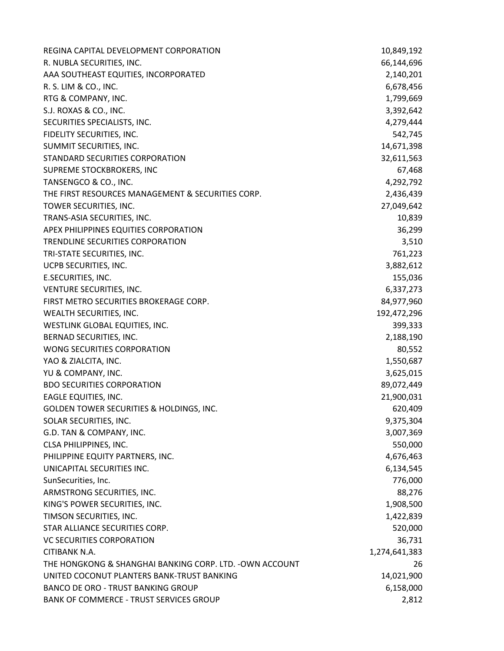| REGINA CAPITAL DEVELOPMENT CORPORATION                   | 10,849,192    |
|----------------------------------------------------------|---------------|
| R. NUBLA SECURITIES, INC.                                | 66,144,696    |
| AAA SOUTHEAST EQUITIES, INCORPORATED                     | 2,140,201     |
| R. S. LIM & CO., INC.                                    | 6,678,456     |
| RTG & COMPANY, INC.                                      | 1,799,669     |
| S.J. ROXAS & CO., INC.                                   | 3,392,642     |
| SECURITIES SPECIALISTS, INC.                             | 4,279,444     |
| FIDELITY SECURITIES, INC.                                | 542,745       |
| SUMMIT SECURITIES, INC.                                  | 14,671,398    |
| STANDARD SECURITIES CORPORATION                          | 32,611,563    |
| SUPREME STOCKBROKERS, INC                                | 67,468        |
| TANSENGCO & CO., INC.                                    | 4,292,792     |
| THE FIRST RESOURCES MANAGEMENT & SECURITIES CORP.        | 2,436,439     |
| TOWER SECURITIES, INC.                                   | 27,049,642    |
| TRANS-ASIA SECURITIES, INC.                              | 10,839        |
| APEX PHILIPPINES EQUITIES CORPORATION                    | 36,299        |
| TRENDLINE SECURITIES CORPORATION                         | 3,510         |
| TRI-STATE SECURITIES, INC.                               | 761,223       |
| UCPB SECURITIES, INC.                                    | 3,882,612     |
| E.SECURITIES, INC.                                       | 155,036       |
| VENTURE SECURITIES, INC.                                 | 6,337,273     |
| FIRST METRO SECURITIES BROKERAGE CORP.                   | 84,977,960    |
| WEALTH SECURITIES, INC.                                  | 192,472,296   |
| WESTLINK GLOBAL EQUITIES, INC.                           | 399,333       |
| BERNAD SECURITIES, INC.                                  | 2,188,190     |
| WONG SECURITIES CORPORATION                              | 80,552        |
| YAO & ZIALCITA, INC.                                     | 1,550,687     |
| YU & COMPANY, INC.                                       | 3,625,015     |
| <b>BDO SECURITIES CORPORATION</b>                        | 89,072,449    |
| EAGLE EQUITIES, INC.                                     | 21,900,031    |
| GOLDEN TOWER SECURITIES & HOLDINGS, INC.                 | 620,409       |
| SOLAR SECURITIES, INC.                                   | 9,375,304     |
| G.D. TAN & COMPANY, INC.                                 | 3,007,369     |
| CLSA PHILIPPINES, INC.                                   | 550,000       |
| PHILIPPINE EQUITY PARTNERS, INC.                         | 4,676,463     |
| UNICAPITAL SECURITIES INC.                               | 6,134,545     |
| SunSecurities, Inc.                                      | 776,000       |
| ARMSTRONG SECURITIES, INC.                               | 88,276        |
| KING'S POWER SECURITIES, INC.                            | 1,908,500     |
| TIMSON SECURITIES, INC.                                  | 1,422,839     |
| STAR ALLIANCE SECURITIES CORP.                           | 520,000       |
| <b>VC SECURITIES CORPORATION</b>                         | 36,731        |
| CITIBANK N.A.                                            | 1,274,641,383 |
| THE HONGKONG & SHANGHAI BANKING CORP. LTD. - OWN ACCOUNT | 26            |
| UNITED COCONUT PLANTERS BANK-TRUST BANKING               | 14,021,900    |
| <b>BANCO DE ORO - TRUST BANKING GROUP</b>                | 6,158,000     |
| <b>BANK OF COMMERCE - TRUST SERVICES GROUP</b>           | 2,812         |